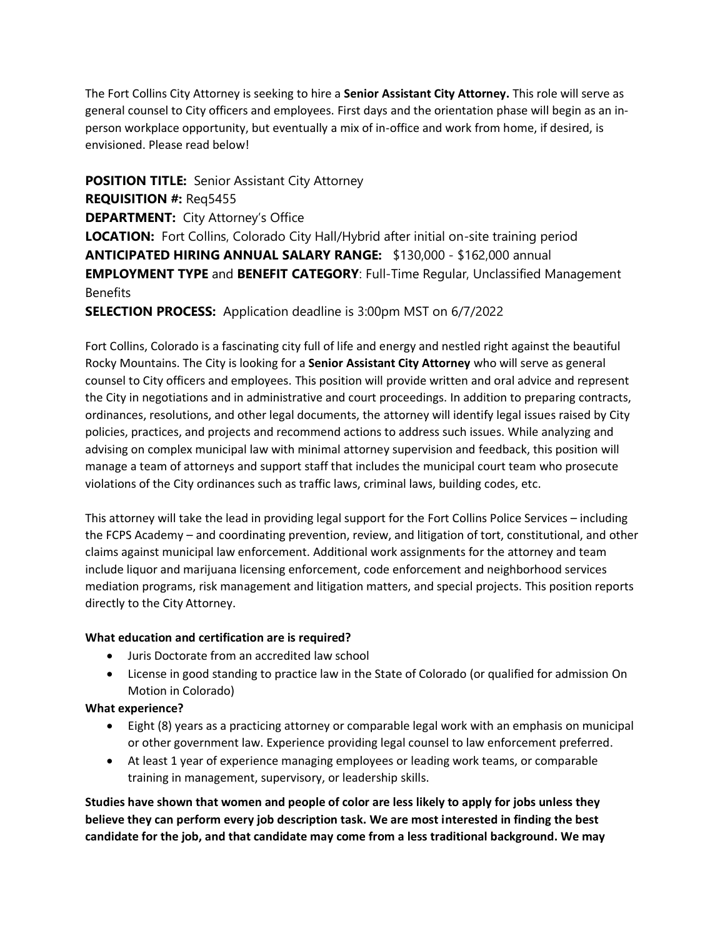The Fort Collins City Attorney is seeking to hire a **Senior Assistant City Attorney.** This role will serve as general counsel to City officers and employees. First days and the orientation phase will begin as an inperson workplace opportunity, but eventually a mix of in-office and work from home, if desired, is envisioned. Please read below!

**POSITION TITLE:** Senior Assistant City Attorney **REQUISITION #:** Req5455 **DEPARTMENT:** City Attorney's Office **LOCATION:** Fort Collins, Colorado City Hall/Hybrid after initial on-site training period **ANTICIPATED HIRING ANNUAL SALARY RANGE:** \$130,000 - \$162,000 annual **EMPLOYMENT TYPE** and **BENEFIT CATEGORY**: Full-Time Regular, Unclassified Management **Benefits** 

**SELECTION PROCESS:** Application deadline is 3:00pm MST on 6/7/2022

Fort Collins, Colorado is a fascinating city full of life and energy and nestled right against the beautiful Rocky Mountains. The City is looking for a **Senior Assistant City Attorney** who will serve as general counsel to City officers and employees. This position will provide written and oral advice and represent the City in negotiations and in administrative and court proceedings. In addition to preparing contracts, ordinances, resolutions, and other legal documents, the attorney will identify legal issues raised by City policies, practices, and projects and recommend actions to address such issues. While analyzing and advising on complex municipal law with minimal attorney supervision and feedback, this position will manage a team of attorneys and support staff that includes the municipal court team who prosecute violations of the City ordinances such as traffic laws, criminal laws, building codes, etc.

This attorney will take the lead in providing legal support for the Fort Collins Police Services – including the FCPS Academy – and coordinating prevention, review, and litigation of tort, constitutional, and other claims against municipal law enforcement. Additional work assignments for the attorney and team include liquor and marijuana licensing enforcement, code enforcement and neighborhood services mediation programs, risk management and litigation matters, and special projects. This position reports directly to the City Attorney.

## **What education and certification are is required?**

- Juris Doctorate from an accredited law school
- License in good standing to practice law in the State of Colorado (or qualified for admission On Motion in Colorado)

**What experience?**

- Eight (8) years as a practicing attorney or comparable legal work with an emphasis on municipal or other government law. Experience providing legal counsel to law enforcement preferred.
- At least 1 year of experience managing employees or leading work teams, or comparable training in management, supervisory, or leadership skills.

**Studies have shown that women and people of color are less likely to apply for jobs unless they believe they can perform every job description task. We are most interested in finding the best candidate for the job, and that candidate may come from a less traditional background. We may**